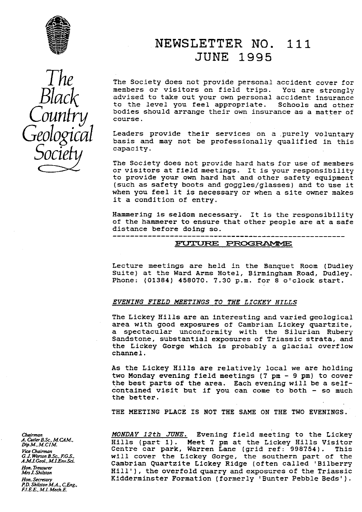



## NEWSLETTER NO. 111 JUNE **1995**

I THE The Society does not provide personal accident cover for<br>
Mack advised to take out your own personal accident insurance<br>
to the lowel way for a strain of the set of the lowel way members or visitors on field trips. You are strongly to the level you feel appropriate. Schools and other advised to take out your own personal accident insurance bodies should arrange their own insurance as a matter of course.

GEOLOGICAL Leaders provide their services on a purely voluntary<br>Let this basis and may not be professionally qualified in this

The Society does not provide hard hats for use of members or visitors at field meetings. It is your responsibility to provide your own hard hat and other safety equipment (such as safety boots and goggles/glasses) and to use it when you feel it is necessary or when a site owner makes it a condition of entry.

Hammering is seldom necessary. It is the responsibility of the hammerer to ensure that other people are at a safe distance before doing so.

#### FUTURE PROGRAMME

-----------------------------------------------------

Lecture meetings are held in the Banquet Room (Dudley Suite) at the Ward Arms Hotel, Birmingham Road, Dudley. Phone: (01384) 458070. 7.30 p.m. for 8 o'clock start.

#### EVENING FIELD MEETINGS TO THE LICKEY HILLS

The Lickey Hills are an interesting and varied geological area with good exposures of Cambrian Lickey quartzite, a spectacular unconformity with the Silurian Rubery Sandstone, substantial exposures of Triassic strata, and the Lickey Gorge which is probably a glacial overflow channel.

As the Lickey Hills are relatively local we are holding two Monday evening field meetings (7 pm - 9 pm) to cover the best parts of the area. Each evening will be a selfcontained visit but if you can come to both - so much the better.

THE MEETING PLACE IS NOT THE SAME ON THE TWO EVENINGS.

MONDAY 12th JUNE. Evening field meeting to the Lickey *A. Culler B.Sc., M.CAM.*<br>*Dip.M., M.CIM.* Hills (part 1). Meet 7 pm at the Lickey Hills Visitor *Dip.M., M.CIM.*<br>ViceChairman Centre car park, Warren Lane (grid ref: 998754). This *G.J. Worton B.Sc., F.G.S.,* Chairman Centre car park, warren Lane (grid ref: 998704). This<br>G.J. Worton B.Sc., F.G.S., Will cover the Lickey Gorge, the southern part of the<br>A.M.I.Geol., M.I.Env.Sci. Cambrian Ouantzite Lick Cambrian Quartzite Lickey Ridge (often called 'Bilberry Hill'), the overfold quarry and exposures of the Triassic Kidderminster Formation (formerly 'Bunter Pebble Beds').

*Chairman*<br>*A. Cutler B.Sc., M.CAM.,*<br>*Dip.M., M.CIM. Hon. Mrs J. hiLytor P.D. Shilston M.A., C.Eng., F1.E.E., M.1. Mech.E.*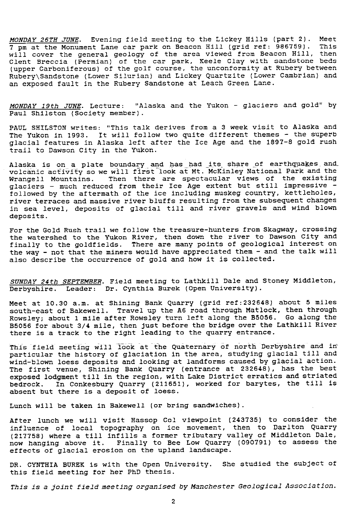*MONDAY 26TH JUNE.* Evening field meeting to the Lickey Hills (part 2). Meet 7 pm at the Monument Lane car park on Beacon Hill (grid ref: 986759). will cover the general geology of the area viewed from Beacon Hill, then Clent Breccia (Permian) of the car park, Keele Clay with sandstone beds (upper Carboniferous) of the golf course, the unconformity at Rubery between Rubery\Sandstone (Lower Silurian) and Lickey Quartzite (Lower Cambrian) and an exposed fault in the Rubery Sandstone at Leach Green Lane.

*MONDAY 19th TUNE.* Lecture: "Alaska and the Yukon - glaciers and gold" by Paul Shilsten (Society member).

PAUL SHILSTON writes: "This talk derives from a 3 week visit to Alaska and The Yukon in 1993. It will follow two quite different themes - the superb glacial features in Alaska left after the Ice Age and the 1897-8 gold rush trail to Dawson City in the Yukon.

Alaska is on a plate boundary and has had its share of earthquakes and volcanic *activity so* we will first look at Mt. McKinley National Park and the Then there are spectacular views of the existing glaciers - much reduced from their Ice Age extent but still impressive followed by the aftermath of the ice including muskeg country, kettleholes, river terraces and massive river bluffs resulting from the subsequent changes in sea level, deposits of glacial till and river gravels and wind *blown* deposits.

For the Gold Rush trail we follow the treasure-hunters from Skagway, crossing the watershed to the Yukon River, then down the river to Dawson City and finally to the goldfields. There are many points of geological interest on the way - not that the miners would have appreciated them - and the talk will also describe the occurrence of gold and how it is collected.

*SUNDAY 24th SEPTEMBER.* Field meeting to Lathkill Dale and Stoney Middleton, Derbyshire. Leader: Dr. Cynthia Burek (Open University).

Meet at 10.30 a.m. at Shining Bank Quarry (grid ref:232648) about 5 miles south-east of Bakewell. Travel up the A6 road through Matlock, then through Rowsley; about 1 mile after Rowsley turn left along the B5056. Go along the B5056 for about 3/4 mile, then just before the bridge over the Lathkill River there is a track to the right leading to the quarry entrance.

This field meeting will look at the Quaternary of north Derbyshire and *iri*particular the history of glaciation in the area, studying glacial till and wind-blown loess deposits and looking at landforms caused by glacial action. The first venue, Shining Bank Quarry (entrance at 232648), has the best exposed lodgment till in the region, with Lake District erratics and striated bedrock. In Conkesbury Quarry (211651), worked for barytes, the till is absent but there is a deposit of loess.

Lunch will be taken in Bakewell (or bring sandwiches).

After lunch we will visit Hassop Col viewpoint (243735) to consider the influence of local topography an Ice movement, then to Darlton Quarry (217758) where a till infills a former tributary valley of Middleton Dale, now hanging above it. Finally to Bee Low Quarry (090791) to assess the effects of glacial erosion on the upland landscape.

DR. CYNTHIA BUREK is with the Open University. She studied the subject of this field meeting for her PhD thesis.

This is a *joint field meeting organised by Manchester Geological Association.*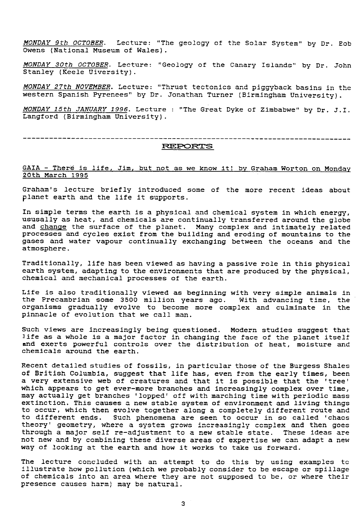MONDAY 9th OCTOBER. Lecture: "The geology of the Solar System" by Dr. Bob Owens (National Museum of Wales).

MONDAY 30th OCTOBER. Lecture: "Geology of the Canary Islands" by Dr. John Stanley (Keele Uiversity).

MONDAY 27th NOVEMBER. Lecture: "Thrust tectonics and piggyback basins in the western Spanish Pyrenees" by Dr. Jonathan Turner (Birmingham University).

MONDAY 15th JANUARY 1996. Lecture : "The Great Dyke of Zimbabwe" by Dr. J.I. Langford (Birmingham University).

--------------------------------

#### **REPORTS**

GAIA - There is life, Jim, but not as we know it! by Graham Worton on Monday 20th March 1995

Graham's lecture briefly introduced some of the more recent ideas about planet earth and the life it supports.

In simple terms the earth is a physical and chemical system in which energy, ususally as heat, and chemicals are continually transferred around the globe and change the surface of the planet. Many complex and intimately related processes and cycles exist from the building and eroding of mountains to the gases and water vapour continually exchanging between the oceans and the atmosphere.

Traditionally, life has been viewed as having a passive role in this physical earth system, adapting to the environments that are produced by the physical, chemical and mechanical processes of the earth.

Life is also traditionally viewed as beginning with very simple animals in the Precambrian some 3500 million years ago. With advancing time, the organisms gradually evolve to become more complex and culminate in the pinnacle of evolution that we call man.

Such views are increasingly being questioned. Modern studies suggest that life as a whole is a major factor in changing the face of the planet itself and exerts powerful controls over the distribution of heat, moisture and chemicals around the earth.

Recent detailed studies of fossils, in particular those of the Burgess Shales of British Columbia, suggest that life has, even from the early times, been a very extensive web of creatures and that it is possible that the 'tree' which appears to get ever-more branches and increasingly complex over time, may actually get branches 'lopped' off with marching time with periodic mass extinction. This causes a new stable system of environment and living things to occur, which then evolve together along a completely different route and to different ends. Such phenomena are seen to occur in so called 'chaos theory' geometry, where a system grows increasingly complex and then goes through a major self re-adjustment to a new stable state. These ideas are not new and by combining these diverse areas of expertise we can adapt a new way of looking at the earth and how it works to take us forward.

The lecture concluded with an attempt to do this by using examples to illustrate how pollution (which we probably consider to be escape or spillage of chemicals into an area where they are not supposed to be, or where their presence causes harm) may be natural.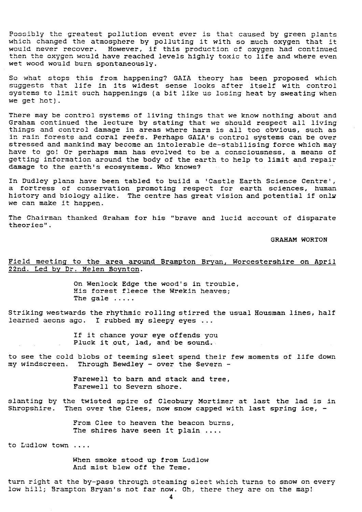Possibly the greatest pollution event ever is that caused by green plants which changed the atmosphere by polluting it with so much oxygen that it would never recover. However, if this production of oxygen had continued then the oxygen would have reached levels highly toxic to life and where even wet wood would burn spontaneously.

So what stops this from happening? GALA theory has been proposed which suggests that life in its widest sense looks after itself with control systems to limit such happenings (a bit like us losing heat by sweating when we get hot).

There may be control systems of living things that we know nothing about and Graham continued the lecture by stating that we should respect all living *things and* control damage in areas where harm is all too obvious, such as *in rain* forests and coral reefs. Perhaps GAIA's control systems can be over stressed and mankind may become an intolerable de-stabilising force which may have to go'. Or perhaps **man has evolved to be a consciousness, a means of** getting information around the body of the earth to help to limit and repair damage to the earth's ecosystems. Who knows?

In Dudley plans have been tabled to build a 'Castle Earth Science Centre', a fortress of conservation promoting respect for earth sciences, *human* history and biology alike. The centre has great vision and potential if only we can make it happen.

The Chairman thanked Graham for his "brave and lucid account of disparate theories".

GRAHAM WORTON

#### Field meeting to the area around Brampton Bryan, Worcestershire on April 22nd. Led by Dr. Helen Boynton .

On Wenlock Edge the wood's in trouble, His forest fleece the Wrekin heaves; The gale .....

Striking westwards the rhythmic rolling stirred the usual Housman lines, half learned aeons ago. I rubbed my sleepy eyes ...

> If it chance your eye offends you Pluck it out, lad, and be sound.

to see the cold blobs of teeming sleet spend their few moments of life down my windscreen. Through Bewdley - over the Severn -

> Farewell to barn and stack and tree, Farewell to Severn shore.

slanting by the twisted spire of Cleobury Mortimer at last the lad is *in* Shropshire. Then over the Clees, now snow capped with last spring ice,  $-$ 

> From Clee to heaven the beacon burns, The shires have seen it plain ....

to Ludlow town ....

When smoke stood up from Ludlow And mist blew off the Teme.

turn right at the by-pass through steaming sleet which turns to snow on every low hill; Brampton Bryan's not far now. Oh, there they are on the map!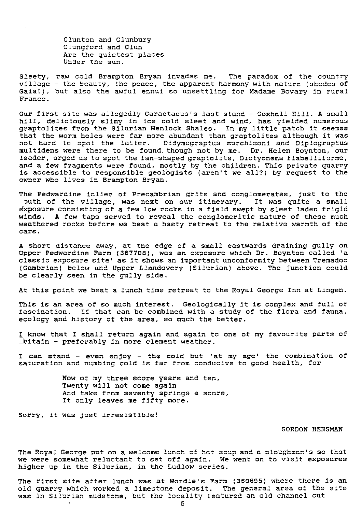lunton and Clunbury Clungford and Clun Are the quietest places Under the sun.

Sleety, raw cold Brampton Bryan invades me. The paradox of the country village - the beauty, the peace, the apparent harmony with nature (shades of Gaia!), but also the awful ennui so unsettling for Madame Bovary in rural France.

Our first site was allegedly Caractacus's last stand - Coxhall Hill. A small hill, deliciously slimy in ice cold sleet and wind, has yielded numerous graptolites from the Silurian Wenlock Shales. In my little patch it seemes that the worm holes were far more abundant than graptolites although it was not hard to spot the latter. Didymograptus murchisoni and Diplograptus multidens were there to be found. though not by me. Dr. Helen Boynton, our leader, urged us to spot the fan-shaped graptolite, Dictyonema flabelliforme, and a few fragments were found,, mostly by the children. This private quarry is accessible to responsible geologists (aren't we all?) by request to the owner who lives in Brampton Bryan.

The Pedwardine inlier of Precambrian grits and conglomerates, just to the buth of the village, was next on our itinerary. It was quite a small -6xposure consisting of a few low rocks in a field swept by sleet laden frigid winds. A few taps served to reveal the conglomeritic nature of these much weathered rocks before we beat a hasty retreat to the relative warmth of the cars.

A short distance away, at the edge of a small eastwards draining gully on Upper Pedwardine Farm (367708), was an exposure which Dr. Boynton called 'a classic exposure site' as it shows an important unconformity between Tremadoc (Cambrian) below and Upper Llandovery (Silurian) above. The junction could be clearly seen in the gully side.

At this point we beat a lunch time retreat to the Royal George Inn at Lingen.

This is an area of so much interest. Geologically it is complex and full of fascination. If that can be combined with a study of the flora and fauna, ecology and history of the area, so much the better.

I know that I shall return again and again to one of my favourite parts of  $\_$ kitain - preferably in more clement weather.

I can stand - even enjoy - the cold but 'at my age' the combination of saturation and numbing cold is far from conducive to good health, for

> Now of my three score years and ten, Twenty will not come again And take from seventy springs a score, It only leaves me fifty more.

Sorry, it was just irresistible!

#### GORDON HENSMAN

The Royal George put on a welcome lunch of hot soup and a ploughman's so that we were somewhat reluctant to set off again. We went on to visit exposures higher up in the Silurian, in the Ludlow series.

The first site after lunch was at Wordle's Farm (360695) where there is an old quarry which worked a limestone deposit. The general area of the site was in Silurian mudstone, but the locality featured an old channel cut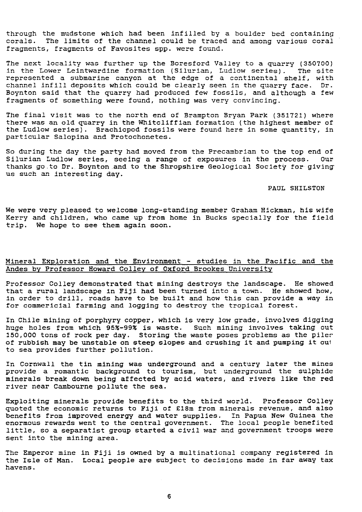through the mudstone which had been infilled by a boulder bed containing<br>corals. The limits of the channel could be traced and among various coral The limits of the channel could be traced and among various coral fragments, fragments of Favosites spp. were found.

The next locality was further up the Boresford Valley to a quarry (350700)<br>in the Lower Leintwardine formation (Silurian, Ludlow series). The site in the Lower Leintwardine formation (Silurian, Ludlow series). represented a submarine canyon at the edge of a continental shelf, with channel infill deposits which could be clearly seen in the quarry face. Dr. Boynton said that the quarry had produced few fossils, and although a few fragments of something were found, nothing was very convincing.

The final visit was to the north end of Brampton Bryan Park (351721) where there was an old quarry in the Whitcliffian formation (the highest member of the Ludlow series). Brachiopod fossils were found here in some quantity, in particular Salopina and Protochonetes.

So during the day the party had moved from the Precambrian to the top end of<br>Silurian Ludlow series, seeing a range of exposures in the process, Our Silurian Ludlow series, seeing a range of exposures in the process. thanks go to Dr. Boynton and to the Shropshire Geological Society for giving us such an interesting day.

PAUL SHILSTON

We were very pleased to welcome long-standing member Graham Hickman, his wife Kerry *and* children, who came up from home in Bucks specially for the field trip. **We** hope to see them again soon.

#### Mineral Exploration and the Environment - studies in the Pacific and the Andes by Professor Howard Colley of Oxford Brookes University

Professor Colley demonstrated that mining destroys the landscape. He showed that a rural landscape in Fiji had been turned into a town. He showed how, In order to drill, roads have to be built and how this can provide a way in for commericial farming and logging to destroy the tropical forest.

In Chile mining of porphyry copper, which is very low grade, involves digging huge holes from which 95%-995 is waste. Such mining involves taking out 150,000 tons of rock per day. Storing the waste poses problems as the piles of rubbish may be unstable on steep slopes and crushing it and pumping it oul to sea provides further pollution.

In Cornwall the tin mining was underground and a century later the mines provide a romantic background to tourism, but underground the sulphlde minerals break down being affected by acid waters, and rivers like the red river near Cambourne pollute the sea.

Exploiting minerals provide benefits to the third world. Professor Colley quoted the economic returns to Fiji of £18m from minerals revenue, and also benefits from improved energy and water supplies. In Papua New Guinea the enormous rewards went to the central government. The local people benefited little, so a separatist group started a civil war and government troops were sent into the mining area.

The Emperor mine in Fiji is owned by a multinational company registered in the Isle of Man. Local people are subject to decisions made in far away tax havens.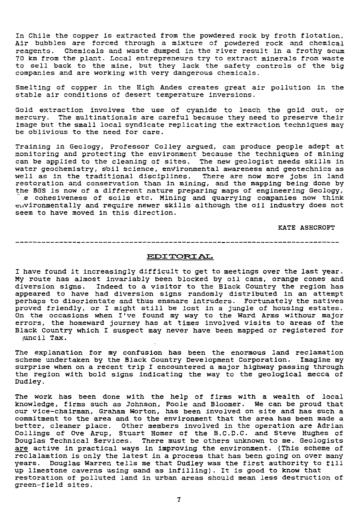In Chile the copper is extracted from the powdered rock by froth flotation. Air bubbles are forced through a mixture of powdered rock and chemical reagents. Chemicals and waste dumped in the river result in a frothy scum 70 **km** from the plant. Local entrepreneurs try to extract minerals from waste to sell back to the mine, but they lack the safety controls of the big companies and are working with very dangerous chemicals.

Smelting of copper in the High Andes creates great air pollution in the stable air conditions of desert temperature inversions.

Gold extraction involves the use of cyanide to leach the gold out, or mercury. The multinationals are careful because they need to preserve their image but the small local syndicate replicating the extraction techniques may be oblivious to the need for care.

*Training in* Geology, Professor Colley argued, can produce people adept at monitoring and protecting the environment because the techniques of mining can be applied to the cleaning of sites. The new geologist needs skills in water geochemistry, soil bcience, environmental awareness and geotechnics as well as in the traditional disciplines. There are now more jobs in land restoration and conservation than in mining, and the mapping being done by the BGS is now of a different nature preparing maps of engineering Geology, ,e cohesiveness of soils etc. Mining and quarrying companies now think

vironmentally and require newer skills although the oil industry does not seem to have moved in this direction.

KATE ASHCROFT

#### *=T TORZ AL.*

I have found it increasingly difficult to get to meetings over the last year. My route has almost invariably been blocked by oil cans, orange cones and diversion signs. Indeed to a visitor to the Black Country the region has appeared to have had diversion signs randomly distributed in an attempt perhaps to disorientate and thus ensnare intruders. Fortunately the natives proved friendly, or I might still be lost in a jungle of housing estates. On the occasions when I've found my way to the Ward Arms withour major errors, the homeward journey has at times involved visits to areas of the Black Country which I suspect may never have been mapped or registered for juncil Tax.

The explanation for my confusion has been the enormous land reclamation scheme undertaken by the Black Country Development Corporation. Imagine my surprise when on a recent trip I encountered a major highway passing through the region with bold signs indicating the way to the geological mecca of Dudley.

The work has been done with the help of firms with a wealth of local knowledge, firms such as Johnson, Poole and Bloomer. We can be proud that our vice-chairman, Graham Worton, has been involved on site and has such a commitment to the area and to the environment that the area has been made a better, cleaner place. Other members involved in the operation are Adrian Collings of Ove Arup, Stuart Homer of the B.C.D.C. and Steve Hughes o Douglas Technical Services. There must be others unknown to me. Geologists are active in practical ways in improving the environment. (This scheme of reclalamtion is only the latest in a process that has been going on over many years. Douglas Warren tells me that Dudley was the first authority to fill up limestone caverns using sand as infilling). It is good to know that restoration of polluted land in urban areas should mean less destruction of green-field sites.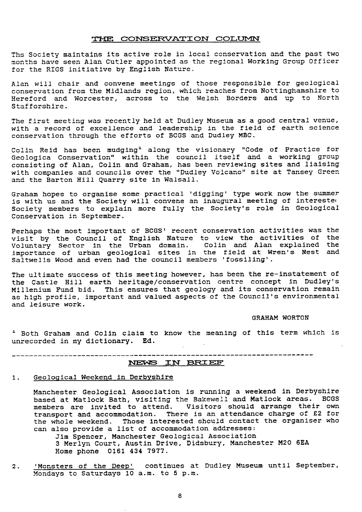#### THE CONSERVATION COLUMN

Ths Society maintains its active role in local conservation and the past two months have seen Alan Cutler appointed as the regional Working Group Officer for the RIGS initiative by English Nature.

Alan will chair and convene meetings of those responsible for geological conservation from the Midlands region, which reaches from Nottinghamshire to Hereford and Worcester, across to the Welsh Borders and up to North Stafforshire.

The first meeting was recently held at Dudley Museum as a good central venue, with a record of excellence and leadership in the field of earth science conservation through the efforts of BCGS and Dudley MBC.

Colin Reid has been mudging' along the visionary "Code of Practice for Geologica Conservation" within the council itself and a working group consisting of Alan, Colin and Graham, has been reviewing sites and liaising with companies and councils over the "Dudley Volcano" site at Tansey Green and the Barton Hill Quarry site in Walsall.

Graham hopes to organise some practical 'digging' type work now the summer is with us and the Society will convene an inaugural meeting of interested Society members to explain more fully the Society's role in Geological Conservation in September.

Perhaps the most important of BCGS' recent conservation activities was the visit by the Council of English Nature to view the activities of the Voluntary Sector in the Urban domain. Colin and Alan explained the importance of urban geological sites in the field at Wren's Nest and Saltwells Wood and even had the council members 'fossiling'.

The ultimate success of this meeting however, has been the re-instatement of the Castle Hill earth heritage/conservation centre concept in Dudley's Millenium Fund bid. This ensures that geology and its conservation remain as high profile, important and valued aspects of the Council's environmental and leisure work.

GRAHAM WORTON

<sup>1</sup> Both Graham and Colin claim to know the meaning of this term which is unrecorded in my dictionary. Ed.

# NECn7 I T SF E <sup>E</sup>

#### 1. Geological Weekend in Derbyshire

Manchester Geological Association is running a weekend in Derbyshire based at Matlock Bath, visiting the Bakewell and Matlock areas. BCGS members are invited to attend. Visitors should arrange their own transport and accommodation. There is an attendance charge of £2 for the whole weekend. Those interested should contact the organiser who can also provide a list of accommodation addresses: Jim Spencer, Manchester Geological Association

3 Merlyn Court, Austin Drive, Didsbury, Manchester M20 6EA Home phone 0161 434 7977.

2. 'Monsters of the Deep' continues at Dudley Museum until September, Mondays to Saturdays 10 a.m. to 5 p.m.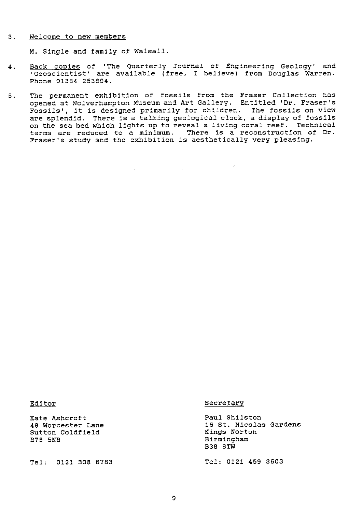#### 3. Welcome to new members

M. Single and family of Walsall.

- 4. Back copies of 'The Quarterly Journal of Engineering Geology' and 'Geoscientist' are available (free, 1 believe) from Douglas Warren. Phone 01384 253804.
- 5. The permanent exhibition of fossils from the Fraser Collection has opened at Wolverhampton Museum and Art Gallery. Entitled 'Dr. Fraser's Fossils', it is designed primarily for children. The fossils on view are splendid. There is a talking geological clock, a display of fossils on the sea bed which lights up to reveal a living coral reef. Technical terms are reduced to a minimum. There is a reconstruction of Dr. Fraser's study and the exhibition is aesthetically very pleasing.

Exate Ashcroft Cancel Controllering and Paul Shilston Paul Shilston<br>18 Worcester Lane Cancel Controllering and Management Controllering and Management Controllering and Managemen Sutton Coldfield<br>B75 5NB

#### Editor Secretary

16 St. Nicolas Gardens<br>Kings Norton Birmingham **538 STW**

Tel: 0121 308 6783 Tel: 0121 459 3603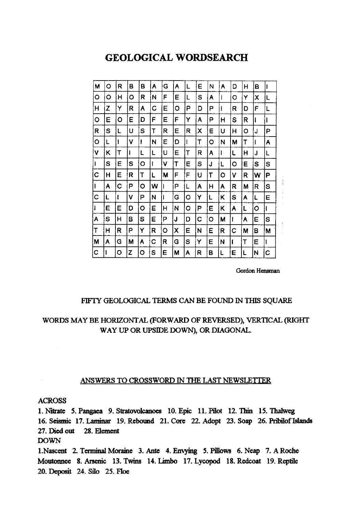### **GEOLOGICAL WORDSEARCH**

| M | O | R | В | В       | Α | G | Α | L | E | N | Α | D | H | В | II |
|---|---|---|---|---------|---|---|---|---|---|---|---|---|---|---|----|
| O | Ο | н | o | R       | Ν | F | E | L | S | Α | ı | O | Υ | X | L  |
| Η | Z | Y | R | Α       | C | E | o | P | D | Ρ | 1 | R | D | F | L  |
| o | E | O | E | D       | F | E | F | Y | A | P | Н | S | R | ı | 1  |
| R | S | L | U | S       | т | R | E | R | Χ | Е | U | н | O | J | P  |
| O | L | ı | V |         | N | E | D | 1 | T | O | N | М | T |   | Α  |
| ٧ | Κ | T | ł | L       | L | U | Ε | т | R | A | I | L | н | J | L  |
| ł | S | E | S | ο       | 1 | ٧ | Т | Ë | S | J | L | O | Е | S | S  |
| C | H | E | R | Т       | L | М | F | F | U | T | O | ٧ | R | W | Ρ  |
|   | A | Ć | P | O       | w | 1 | Р | L | Α | H | Α | R | Μ | R | S  |
| C | L | ŧ | ۷ | P       | N | 1 | G | o | Y | L | K | s | A | L | Е  |
|   | E | E | D | $\circ$ | E | Н | N | o | P | E | ĸ | Α | L | Ο | H  |
| A | S | н | В | S       | E | P | J | D | C | о | М | ł | Α | E | S  |
| T | Η | R | P | Y       | R | o | χ | Ε | N | Ε | R | С | М | в | М  |
| M | Α | G | М | Α       | С | R | G | S | Υ | Ε | N | 1 | Τ | Е | 1  |
| Ç |   | o | Z | O       | S | E | M | Α | R | в | Ł | Ε | L | N | C  |

Gordon Hensman

### FIFTY GEOLOGICAL TERMS CAN BE FOUND IN THIS SQUARE

### WORDS MAY BE HORIZONTAL **(FORWARD** OF REVERSED), VERTICAL (RIGHT WAY UP OR UPSIDE DOWN), OR DIAGONAL.

#### ANSWERS TO CROSSWORD IN THE LAST NEWSLETTER

#### ACROSS

1. Nitrate 5. Pangaea 9. **Stratovolcanoes** 10. Epic 11. Pilot 12. Thin 15. Thalweg 16. Seismic 17. Laminar 19. Rebound 21. Core 22. Adopt 23. **Soap** 26. Pribilof Islands 27. Died out 28. Element DOWN 1.Nascent 2. Terminal Moraine 3. Ante **4. Envying** 5. Pillows 6. Neap 7. A Roche **Moutonnee** 8. Arsenic 13. Twins 14. Limbo 17. Lycopod 18. Redcoat 19. Reptile 20. Deposit 24. Silo 25. Floe